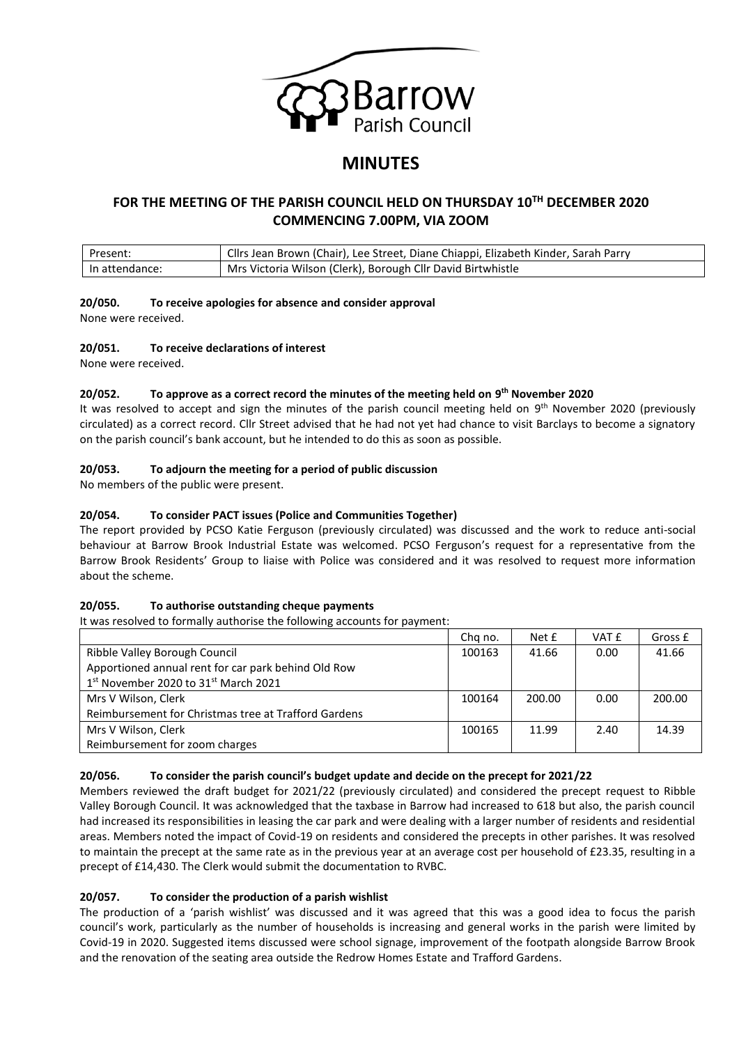

# **MINUTES**

# **FOR THE MEETING OF THE PARISH COUNCIL HELD ON THURSDAY 10TH DECEMBER 2020 COMMENCING 7.00PM, VIA ZOOM**

| Present:       | Cllrs Jean Brown (Chair), Lee Street, Diane Chiappi, Elizabeth Kinder, Sarah Parry |
|----------------|------------------------------------------------------------------------------------|
| In attendance: | Mrs Victoria Wilson (Clerk), Borough Cllr David Birtwhistle                        |

# **20/050. To receive apologies for absence and consider approval**

None were received.

# **20/051. To receive declarations of interest**

None were received.

# **20/052. To approve as a correct record the minutes of the meeting held on 9 th November 2020**

It was resolved to accept and sign the minutes of the parish council meeting held on 9<sup>th</sup> November 2020 (previously circulated) as a correct record. Cllr Street advised that he had not yet had chance to visit Barclays to become a signatory on the parish council's bank account, but he intended to do this as soon as possible.

# **20/053. To adjourn the meeting for a period of public discussion**

No members of the public were present.

# **20/054. To consider PACT issues (Police and Communities Together)**

The report provided by PCSO Katie Ferguson (previously circulated) was discussed and the work to reduce anti-social behaviour at Barrow Brook Industrial Estate was welcomed. PCSO Ferguson's request for a representative from the Barrow Brook Residents' Group to liaise with Police was considered and it was resolved to request more information about the scheme.

# **20/055. To authorise outstanding cheque payments**

It was resolved to formally authorise the following accounts for payment:

|                                                      | Chg no. | Net £  | VAT £ | Gross £ |
|------------------------------------------------------|---------|--------|-------|---------|
| Ribble Valley Borough Council                        |         | 41.66  | 0.00  | 41.66   |
| Apportioned annual rent for car park behind Old Row  |         |        |       |         |
| 1st November 2020 to 31st March 2021                 |         |        |       |         |
| Mrs V Wilson, Clerk                                  |         | 200.00 | 0.00  | 200.00  |
| Reimbursement for Christmas tree at Trafford Gardens |         |        |       |         |
| Mrs V Wilson, Clerk                                  |         | 11.99  | 2.40  | 14.39   |
| Reimbursement for zoom charges                       |         |        |       |         |

# **20/056. To consider the parish council's budget update and decide on the precept for 2021/22**

Members reviewed the draft budget for 2021/22 (previously circulated) and considered the precept request to Ribble Valley Borough Council. It was acknowledged that the taxbase in Barrow had increased to 618 but also, the parish council had increased its responsibilities in leasing the car park and were dealing with a larger number of residents and residential areas. Members noted the impact of Covid-19 on residents and considered the precepts in other parishes. It was resolved to maintain the precept at the same rate as in the previous year at an average cost per household of £23.35, resulting in a precept of £14,430. The Clerk would submit the documentation to RVBC.

# **20/057. To consider the production of a parish wishlist**

The production of a 'parish wishlist' was discussed and it was agreed that this was a good idea to focus the parish council's work, particularly as the number of households is increasing and general works in the parish were limited by Covid-19 in 2020. Suggested items discussed were school signage, improvement of the footpath alongside Barrow Brook and the renovation of the seating area outside the Redrow Homes Estate and Trafford Gardens.